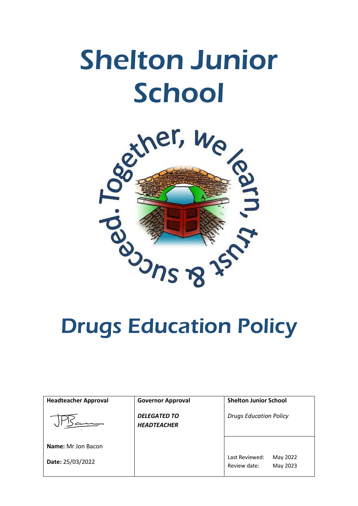# Shelton Junior **School**



| <b>Headteacher Approval</b>                   | <b>Governor Approval</b>                  | <b>Shelton Junior School</b>                           |
|-----------------------------------------------|-------------------------------------------|--------------------------------------------------------|
|                                               | <b>DELEGATED TO</b><br><b>HEADTEACHER</b> | <b>Drugs Education Policy</b>                          |
| <b>Name:</b> Mr Jon Bacon<br>Date: 25/03/2022 |                                           | Last Reviewed:<br>May 2022<br>May 2023<br>Review date: |
|                                               |                                           |                                                        |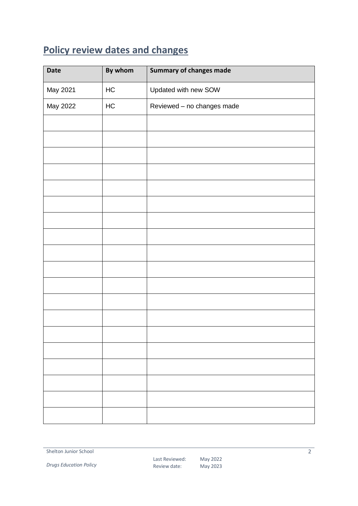## <span id="page-1-0"></span>**Policy review dates and changes**

| <b>Date</b> | By whom  | <b>Summary of changes made</b> |
|-------------|----------|--------------------------------|
| May 2021    | $\sf HC$ | Updated with new SOW           |
| May 2022    | HC       | Reviewed - no changes made     |
|             |          |                                |
|             |          |                                |
|             |          |                                |
|             |          |                                |
|             |          |                                |
|             |          |                                |
|             |          |                                |
|             |          |                                |
|             |          |                                |
|             |          |                                |
|             |          |                                |
|             |          |                                |
|             |          |                                |
|             |          |                                |
|             |          |                                |
|             |          |                                |
|             |          |                                |
|             |          |                                |
|             |          |                                |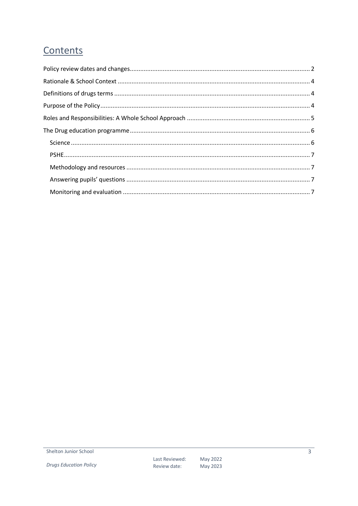## Contents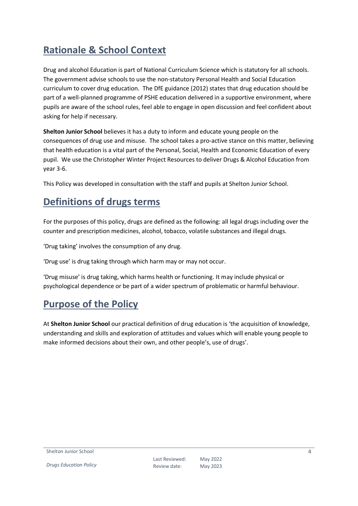## <span id="page-3-0"></span>**Rationale & School Context**

Drug and alcohol Education is part of National Curriculum Science which is statutory for all schools. The government advise schools to use the non-statutory Personal Health and Social Education curriculum to cover drug education. The DfE guidance (2012) states that drug education should be part of a well-planned programme of PSHE education delivered in a supportive environment, where pupils are aware of the school rules, feel able to engage in open discussion and feel confident about asking for help if necessary.

**Shelton Junior School** believes it has a duty to inform and educate young people on the consequences of drug use and misuse. The school takes a pro-active stance on this matter, believing that health education is a vital part of the Personal, Social, Health and Economic Education of every pupil. We use the Christopher Winter Project Resources to deliver Drugs & Alcohol Education from year 3-6.

This Policy was developed in consultation with the staff and pupils at Shelton Junior School.

## <span id="page-3-1"></span>**Definitions of drugs terms**

For the purposes of this policy, drugs are defined as the following: all legal drugs including over the counter and prescription medicines, alcohol, tobacco, volatile substances and illegal drugs.

'Drug taking' involves the consumption of any drug.

'Drug use' is drug taking through which harm may or may not occur.

'Drug misuse' is drug taking, which harms health or functioning. It may include physical or psychological dependence or be part of a wider spectrum of problematic or harmful behaviour.

## <span id="page-3-2"></span>**Purpose of the Policy**

At **Shelton Junior School** our practical definition of drug education is 'the acquisition of knowledge, understanding and skills and exploration of attitudes and values which will enable young people to make informed decisions about their own, and other people's, use of drugs'.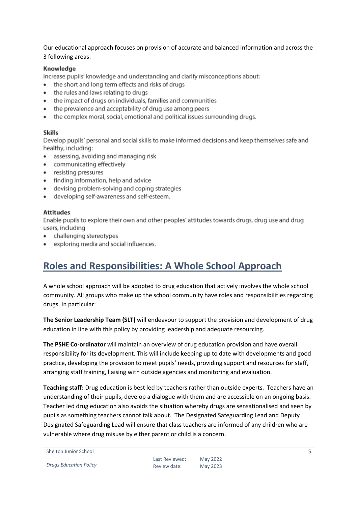Our educational approach focuses on provision of accurate and balanced information and across the 3 following areas:

#### Knowledge

Increase pupils' knowledge and understanding and clarify misconceptions about:

- the short and long term effects and risks of drugs  $\bullet$
- the rules and laws relating to drugs
- the impact of drugs on individuals, families and communities
- the prevalence and acceptability of drug use among peers
- $\bullet$ the complex moral, social, emotional and political issues surrounding drugs.

#### **Skills**

Develop pupils' personal and social skills to make informed decisions and keep themselves safe and healthy, including:

- assessing, avoiding and managing risk
- communicating effectively  $\bullet$
- resisting pressures
- finding information, help and advice
- devising problem-solving and coping strategies
- developing self-awareness and self-esteem.

#### **Attitudes**

Enable pupils to explore their own and other peoples' attitudes towards drugs, drug use and drug users, including

- challenging stereotypes
- exploring media and social influences.

## <span id="page-4-0"></span>**Roles and Responsibilities: A Whole School Approach**

A whole school approach will be adopted to drug education that actively involves the whole school community. All groups who make up the school community have roles and responsibilities regarding drugs. In particular:

**The Senior Leadership Team (SLT)** will endeavour to support the provision and development of drug education in line with this policy by providing leadership and adequate resourcing.

**The PSHE Co-ordinator** will maintain an overview of drug education provision and have overall responsibility for its development. This will include keeping up to date with developments and good practice, developing the provision to meet pupils' needs, providing support and resources for staff, arranging staff training, liaising with outside agencies and monitoring and evaluation.

**Teaching staff:** Drug education is best led by teachers rather than outside experts. Teachers have an understanding of their pupils, develop a dialogue with them and are accessible on an ongoing basis. Teacher led drug education also avoids the situation whereby drugs are sensationalised and seen by pupils as something teachers cannot talk about. The Designated Safeguarding Lead and Deputy Designated Safeguarding Lead will ensure that class teachers are informed of any children who are vulnerable where drug misuse by either parent or child is a concern.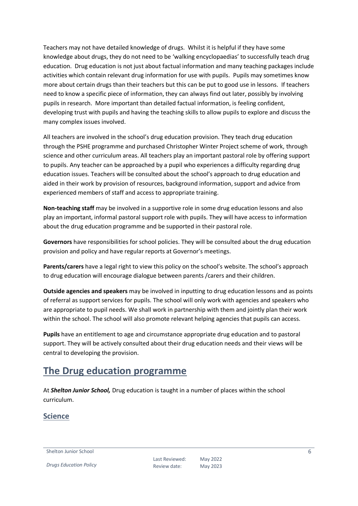Teachers may not have detailed knowledge of drugs. Whilst it is helpful if they have some knowledge about drugs, they do not need to be 'walking encyclopaedias' to successfully teach drug education. Drug education is not just about factual information and many teaching packages include activities which contain relevant drug information for use with pupils. Pupils may sometimes know more about certain drugs than their teachers but this can be put to good use in lessons. If teachers need to know a specific piece of information, they can always find out later, possibly by involving pupils in research. More important than detailed factual information, is feeling confident, developing trust with pupils and having the teaching skills to allow pupils to explore and discuss the many complex issues involved.

All teachers are involved in the school's drug education provision. They teach drug education through the PSHE programme and purchased Christopher Winter Project scheme of work, through science and other curriculum areas. All teachers play an important pastoral role by offering support to pupils. Any teacher can be approached by a pupil who experiences a difficulty regarding drug education issues. Teachers will be consulted about the school's approach to drug education and aided in their work by provision of resources, background information, support and advice from experienced members of staff and access to appropriate training.

**Non-teaching staff** may be involved in a supportive role in some drug education lessons and also play an important, informal pastoral support role with pupils. They will have access to information about the drug education programme and be supported in their pastoral role.

**Governors** have responsibilities for school policies. They will be consulted about the drug education provision and policy and have regular reports at Governor's meetings.

**Parents/carers** have a legal right to view this policy on the school's website. The school's approach to drug education will encourage dialogue between parents /carers and their children.

**Outside agencies and speakers** may be involved in inputting to drug education lessons and as points of referral as support services for pupils. The school will only work with agencies and speakers who are appropriate to pupil needs. We shall work in partnership with them and jointly plan their work within the school. The school will also promote relevant helping agencies that pupils can access.

**Pupils** have an entitlement to age and circumstance appropriate drug education and to pastoral support. They will be actively consulted about their drug education needs and their views will be central to developing the provision.

## <span id="page-5-0"></span>**The Drug education programme**

At *Shelton Junior School,* Drug education is taught in a number of places within the school curriculum.

### <span id="page-5-1"></span>**Science**

Shelton Junior School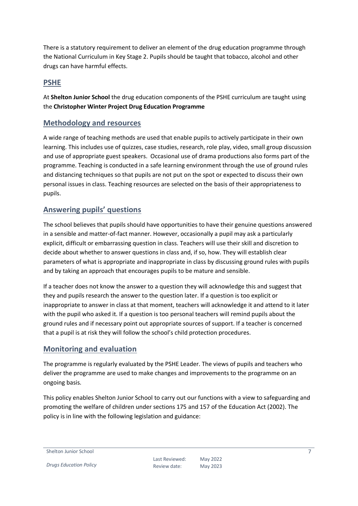There is a statutory requirement to deliver an element of the drug education programme through the National Curriculum in Key Stage 2. Pupils should be taught that tobacco, alcohol and other drugs can have harmful effects.

### <span id="page-6-0"></span>**PSHE**

At **Shelton Junior School** the drug education components of the PSHE curriculum are taught using the **Christopher Winter Project Drug Education Programme**

#### <span id="page-6-1"></span>**Methodology and resources**

A wide range of teaching methods are used that enable pupils to actively participate in their own learning. This includes use of quizzes, case studies, research, role play, video, small group discussion and use of appropriate guest speakers. Occasional use of drama productions also forms part of the programme. Teaching is conducted in a safe learning environment through the use of ground rules and distancing techniques so that pupils are not put on the spot or expected to discuss their own personal issues in class. Teaching resources are selected on the basis of their appropriateness to pupils.

#### <span id="page-6-2"></span>**Answering pupils' questions**

The school believes that pupils should have opportunities to have their genuine questions answered in a sensible and matter-of-fact manner. However, occasionally a pupil may ask a particularly explicit, difficult or embarrassing question in class. Teachers will use their skill and discretion to decide about whether to answer questions in class and, if so, how. They will establish clear parameters of what is appropriate and inappropriate in class by discussing ground rules with pupils and by taking an approach that encourages pupils to be mature and sensible.

If a teacher does not know the answer to a question they will acknowledge this and suggest that they and pupils research the answer to the question later. If a question is too explicit or inappropriate to answer in class at that moment, teachers will acknowledge it and attend to it later with the pupil who asked it. If a question is too personal teachers will remind pupils about the ground rules and if necessary point out appropriate sources of support. If a teacher is concerned that a pupil is at risk they will follow the school's child protection procedures.

### <span id="page-6-3"></span>**Monitoring and evaluation**

The programme is regularly evaluated by the PSHE Leader. The views of pupils and teachers who deliver the programme are used to make changes and improvements to the programme on an ongoing basis.

This policy enables Shelton Junior School to carry out our functions with a view to safeguarding and promoting the welfare of children under sections 175 and 157 of the Education Act (2002). The policy is in line with the following legislation and guidance:

Shelton Junior School